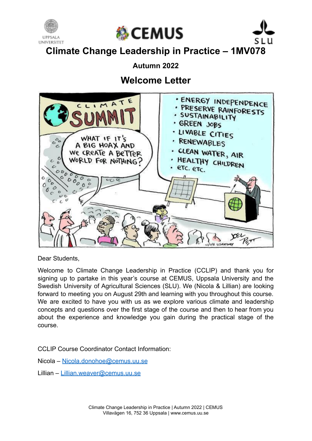





**Climate Change Leadership in Practice – 1MV078**

## **Autumn 2022**

# **Welcome Letter**



Dear Students,

Welcome to Climate Change Leadership in Practice (CCLIP) and thank you for signing up to partake in this year's course at CEMUS, Uppsala University and the Swedish University of Agricultural Sciences (SLU). We (Nicola & Lillian) are looking forward to meeting you on August 29th and learning with you throughout this course. We are excited to have you with us as we explore various climate and leadership concepts and questions over the first stage of the course and then to hear from you about the experience and knowledge you gain during the practical stage of the course.

CCLIP Course Coordinator Contact Information:

Nicola – [Nicola.donohoe@cemus.uu.se](mailto:Nicola.donohoe@cemus.uu.se)

Lillian – [Lillian.weaver@cemus.uu.se](mailto:Lillian.weaver@cemus.uu.se)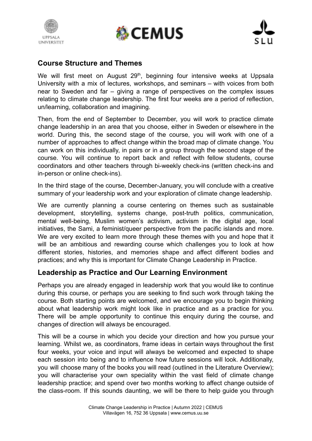





#### **Course Structure and Themes**

We will first meet on August 29<sup>th</sup>, beginning four intensive weeks at Uppsala University with a mix of lectures, workshops, and seminars – with voices from both near to Sweden and far – giving a range of perspectives on the complex issues relating to climate change leadership. The first four weeks are a period of reflection, un/learning, collaboration and imagining.

Then, from the end of September to December, you will work to practice climate change leadership in an area that you choose, either in Sweden or elsewhere in the world. During this, the second stage of the course, you will work with one of a number of approaches to affect change within the broad map of climate change. You can work on this individually, in pairs or in a group through the second stage of the course. You will continue to report back and reflect with fellow students, course coordinators and other teachers through bi-weekly check-ins (written check-ins and in-person or online check-ins).

In the third stage of the course, December-January, you will conclude with a creative summary of your leadership work and your exploration of climate change leadership.

We are currently planning a course centering on themes such as sustainable development, storytelling, systems change, post-truth politics, communication, mental well-being, Muslim women's activism, activism in the digital age, local initiatives, the Sami, a feminist/queer perspective from the pacific islands and more. We are very excited to learn more through these themes with you and hope that it will be an ambitious and rewarding course which challenges you to look at how different stories, histories, and memories shape and affect different bodies and practices; and why this is important for Climate Change Leadership in Practice.

### **Leadership as Practice and Our Learning Environment**

Perhaps you are already engaged in leadership work that you would like to continue during this course, or perhaps you are seeking to find such work through taking the course. Both starting points are welcomed, and we encourage you to begin thinking about what leadership work might look like in practice and as a practice for you. There will be ample opportunity to continue this enquiry during the course, and changes of direction will always be encouraged.

This will be a course in which you decide your direction and how you pursue your learning. Whilst we, as coordinators, frame ideas in certain ways throughout the first four weeks, your voice and input will always be welcomed and expected to shape each session into being and to influence how future sessions will look. Additionally, you will choose many of the books you will read (outlined in the Literature Overview); you will characterise your own speciality within the vast field of climate change leadership practice; and spend over two months working to affect change outside of the class-room. If this sounds daunting, we will be there to help guide you through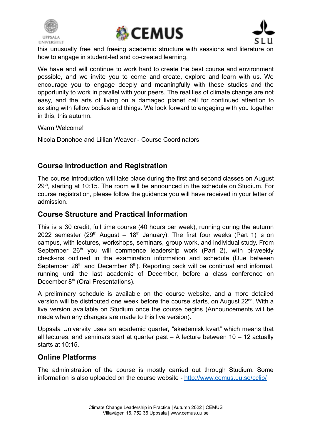





this unusually free and freeing academic structure with sessions and literature on how to engage in student-led and co-created learning.

We have and will continue to work hard to create the best course and environment possible, and we invite you to come and create, explore and learn with us. We encourage you to engage deeply and meaningfully with these studies and the opportunity to work in parallel with your peers. The realities of climate change are not easy, and the arts of living on a damaged planet call for continued attention to existing with fellow bodies and things. We look forward to engaging with you together in this, this autumn.

Warm Welcome!

Nicola Donohoe and Lillian Weaver - Course Coordinators

## **Course Introduction and Registration**

The course introduction will take place during the first and second classes on August 29<sup>th</sup>, starting at 10:15. The room will be announced in the schedule on Studium. For course registration, please follow the guidance you will have received in your letter of admission.

#### **Course Structure and Practical Information**

This is a 30 credit, full time course (40 hours per week), running during the autumn 2022 semester (29<sup>th</sup> August – 18<sup>th</sup> January). The first four weeks (Part 1) is on campus, with lectures, workshops, seminars, group work, and individual study. From September 26<sup>th</sup> you will commence leadership work (Part 2), with bi-weekly check-ins outlined in the examination information and schedule (Due between September  $26<sup>th</sup>$  and December  $8<sup>th</sup>$ ). Reporting back will be continual and informal, running until the last academic of December, before a class conference on December 8<sup>th</sup> (Oral Presentations).

A preliminary schedule is available on the course website, and a more detailed version will be distributed one week before the course starts, on August 22<sup>nd</sup>. With a live version available on Studium once the course begins (Announcements will be made when any changes are made to this live version).

Uppsala University uses an academic quarter, "akademisk kvart" which means that all lectures, and seminars start at quarter past  $-$  A lecture between 10  $-$  12 actually starts at 10:15.

#### **Online Platforms**

The administration of the course is mostly carried out through Studium. Some information is also uploaded on the course website - <http://www.cemus.uu.se/cclip/>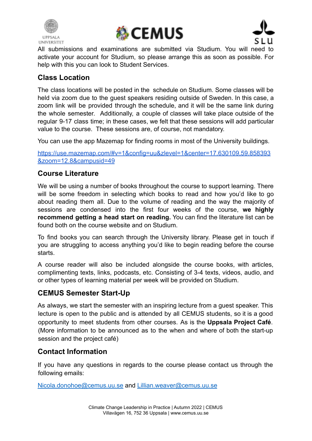





All submissions and examinations are submitted via Studium. You will need to activate your account for Studium, so please arrange this as soon as possible. For help with this you can look to Student Services.

### **Class Location**

The class locations will be posted in the schedule on Studium. Some classes will be held via zoom due to the guest speakers residing outside of Sweden. In this case, a zoom link will be provided through the schedule, and it will be the same link during the whole semester. Additionally, a couple of classes will take place outside of the regular 9-17 class time; in these cases, we felt that these sessions will add particular value to the course. These sessions are, of course, not mandatory.

You can use the app Mazemap for finding rooms in most of the University buildings.

https://use.mazemap.com/#v=1&config=uu&zlevel=1&center=17.630109.59.858393 [&zoom=12.8&campusid=49](https://use.mazemap.com/#v=1&config=uu&zlevel=1¢er=17.630109,59.858393&zoom=12.8&campusid=49)

### **Course Literature**

We will be using a number of books throughout the course to support learning. There will be some freedom in selecting which books to read and how you'd like to go about reading them all. Due to the volume of reading and the way the majority of sessions are condensed into the first four weeks of the course, **we highly recommend getting a head start on reading.** You can find the literature list can be found both on the course website and on Studium.

To find books you can search through the University library. Please get in touch if you are struggling to access anything you'd like to begin reading before the course starts.

A course reader will also be included alongside the course books, with articles, complimenting texts, links, podcasts, etc. Consisting of 3-4 texts, videos, audio, and or other types of learning material per week will be provided on Studium.

### **CEMUS Semester Start-Up**

As always, we start the semester with an inspiring lecture from a guest speaker. This lecture is open to the public and is attended by all CEMUS students, so it is a good opportunity to meet students from other courses. As is the **Uppsala Project Café**. (More information to be announced as to the when and where of both the start-up session and the project café)

### **Contact Information**

If you have any questions in regards to the course please contact us through the following emails:

[Nicola.donohoe@cemus.uu.se](mailto:Nicola.donohoe@cemus.uu.se) and [Lillian.weaver@cemus.uu.se](mailto:Lillian.weaver@cemus.uu.se)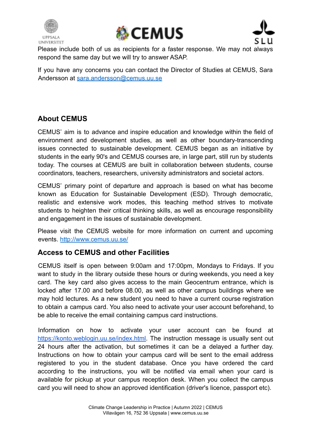





Please include both of us as recipients for a faster response. We may not always respond the same day but we will try to answer ASAP.

If you have any concerns you can contact the Director of Studies at CEMUS, Sara Andersson at [sara.andersson@cemus.uu.se](mailto:sara.andersson@cemus.uu.se)

## **About CEMUS**

CEMUS' aim is to advance and inspire education and knowledge within the field of environment and development studies, as well as other boundary-transcending issues connected to sustainable development. CEMUS began as an initiative by students in the early 90's and CEMUS courses are, in large part, still run by students today. The courses at CEMUS are built in collaboration between students, course coordinators, teachers, researchers, university administrators and societal actors.

CEMUS' primary point of departure and approach is based on what has become known as Education for Sustainable Development (ESD). Through democratic, realistic and extensive work modes, this teaching method strives to motivate students to heighten their critical thinking skills, as well as encourage responsibility and engagement in the issues of sustainable development.

Please visit the CEMUS website for more information on current and upcoming events. <http://www.cemus.uu.se/>

### **Access to CEMUS and other Facilities**

CEMUS itself is open between 9:00am and 17:00pm, Mondays to Fridays. If you want to study in the library outside these hours or during weekends, you need a key card. The key card also gives access to the main Geocentrum entrance, which is locked after 17.00 and before 08.00, as well as other campus buildings where we may hold lectures. As a new student you need to have a current course registration to obtain a campus card. You also need to activate your user account beforehand, to be able to receive the email containing campus card instructions.

Information on how to activate your user account can be found at https://konto.weblogin.uu.se/index.html. The instruction message is usually sent out 24 hours after the activation, but sometimes it can be a delayed a further day. Instructions on how to obtain your campus card will be sent to the email address registered to you in the student database. Once you have ordered the card according to the instructions, you will be notified via email when your card is available for pickup at your campus reception desk. When you collect the campus card you will need to show an approved identification (driver's licence, passport etc).